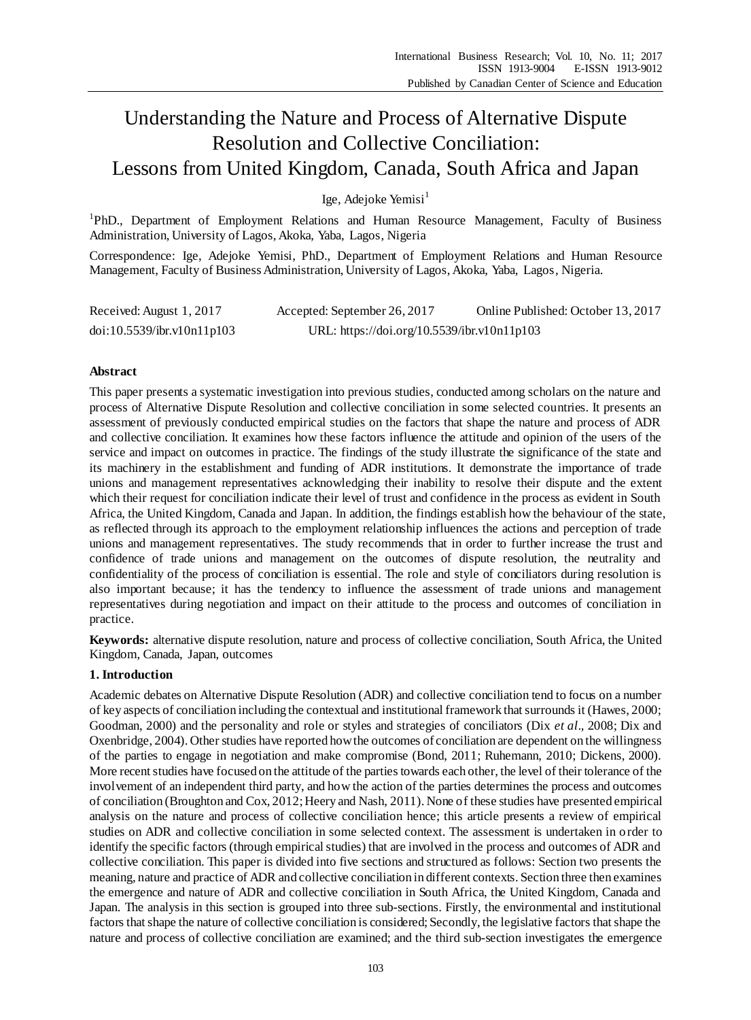# Understanding the Nature and Process of Alternative Dispute Resolution and Collective Conciliation: Lessons from United Kingdom, Canada, South Africa and Japan

Ige, Adejoke Yemisi $<sup>1</sup>$ </sup>

<sup>1</sup>PhD., Department of Employment Relations and Human Resource Management, Faculty of Business Administration, University of Lagos, Akoka, Yaba, Lagos, Nigeria

Correspondence: Ige, Adejoke Yemisi, PhD., Department of Employment Relations and Human Resource Management, Faculty of Business Administration, University of Lagos, Akoka, Yaba, Lagos, Nigeria.

| Received: August 1, 2017   | Accepted: September 26, 2017                | Online Published: October 13, 2017 |
|----------------------------|---------------------------------------------|------------------------------------|
| doi:10.5539/ibr.v10n11p103 | URL: https://doi.org/10.5539/ibr.v10n11p103 |                                    |

## **Abstract**

This paper presents a systematic investigation into previous studies, conducted among scholars on the nature and process of Alternative Dispute Resolution and collective conciliation in some selected countries. It presents an assessment of previously conducted empirical studies on the factors that shape the nature and process of ADR and collective conciliation. It examines how these factors influence the attitude and opinion of the users of the service and impact on outcomes in practice. The findings of the study illustrate the significance of the state and its machinery in the establishment and funding of ADR institutions. It demonstrate the importance of trade unions and management representatives acknowledging their inability to resolve their dispute and the extent which their request for conciliation indicate their level of trust and confidence in the process as evident in South Africa, the United Kingdom, Canada and Japan. In addition, the findings establish how the behaviour of the state, as reflected through its approach to the employment relationship influences the actions and perception of trade unions and management representatives. The study recommends that in order to further increase the trust and confidence of trade unions and management on the outcomes of dispute resolution, the neutrality and confidentiality of the process of conciliation is essential. The role and style of conciliators during resolution is also important because; it has the tendency to influence the assessment of trade unions and management representatives during negotiation and impact on their attitude to the process and outcomes of conciliation in practice.

**Keywords:** alternative dispute resolution, nature and process of collective conciliation, South Africa, the United Kingdom, Canada, Japan, outcomes

### **1. Introduction**

Academic debates on Alternative Dispute Resolution (ADR) and collective conciliation tend to focus on a number of key aspects of conciliation including the contextual and institutional framework that surrounds it (Hawes, 2000; Goodman, 2000) and the personality and role or styles and strategies of conciliators (Dix *et al*., 2008; Dix and Oxenbridge, 2004). Other studies have reported how the outcomes of conciliation are dependent on the willingness of the parties to engage in negotiation and make compromise (Bond, 2011; Ruhemann, 2010; Dickens, 2000). More recent studies have focused on the attitude of the parties towards each other, the level of their tolerance of the involvement of an independent third party, and how the action of the parties determines the process and outcomes of conciliation (Broughton and Cox, 2012; Heery and Nash, 2011). None of these studies have presented empirical analysis on the nature and process of collective conciliation hence; this article presents a review of empirical studies on ADR and collective conciliation in some selected context. The assessment is undertaken in order to identify the specific factors (through empirical studies) that are involved in the process and outcomes of ADR and collective conciliation. This paper is divided into five sections and structured as follows: Section two presents the meaning, nature and practice of ADR and collective conciliation in different contexts. Section three then examines the emergence and nature of ADR and collective conciliation in South Africa, the United Kingdom, Canada and Japan. The analysis in this section is grouped into three sub-sections. Firstly, the environmental and institutional factors that shape the nature of collective conciliation is considered; Secondly, the legislative factors that shape the nature and process of collective conciliation are examined; and the third sub-section investigates the emergence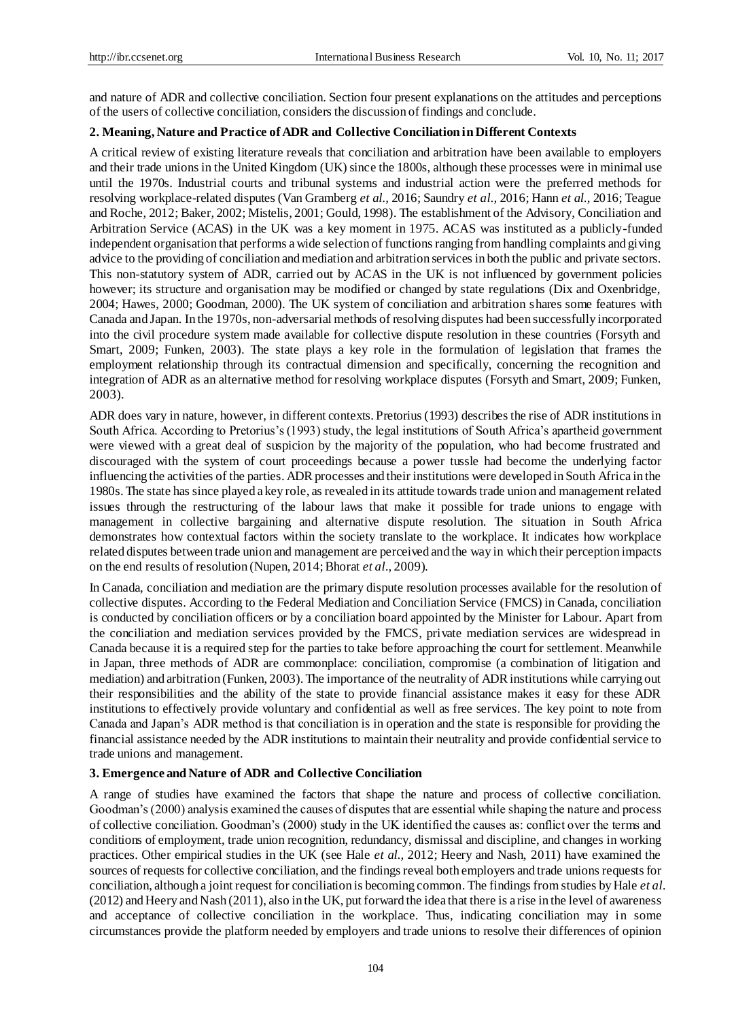and nature of ADR and collective conciliation. Section four present explanations on the attitudes and perceptions of the users of collective conciliation, considers the discussion of findings and conclude.

# **2. Meaning, Nature and Practice of ADR and Collective Conciliation in Different Contexts**

A critical review of existing literature reveals that conciliation and arbitration have been available to employers and their trade unions in the United Kingdom (UK) since the 1800s, although these processes were in minimal use until the 1970s. Industrial courts and tribunal systems and industrial action were the preferred methods for resolving workplace-related disputes (Van Gramberg *et al.,* 2016; Saundry *et al.,* 2016; Hann *et al.,* 2016; Teague and Roche, 2012; Baker, 2002; Mistelis, 2001; Gould, 1998). The establishment of the Advisory, Conciliation and Arbitration Service (ACAS) in the UK was a key moment in 1975. ACAS was instituted as a publicly-funded independent organisation that performs a wide selection of functions ranging from handling complaints and giving advice to the providing of conciliation and mediation and arbitration services in both the public and private sectors. This non-statutory system of ADR, carried out by ACAS in the UK is not influenced by government policies however; its structure and organisation may be modified or changed by state regulations (Dix and Oxenbridge, 2004; Hawes, 2000; Goodman, 2000). The UK system of conciliation and arbitration shares some features with Canada and Japan. In the 1970s, non-adversarial methods of resolving disputes had been successfully incorporated into the civil procedure system made available for collective dispute resolution in these countries (Forsyth and Smart, 2009; Funken, 2003). The state plays a key role in the formulation of legislation that frames the employment relationship through its contractual dimension and specifically, concerning the recognition and integration of ADR as an alternative method for resolving workplace disputes (Forsyth and Smart, 2009; Funken, 2003).

ADR does vary in nature, however, in different contexts. Pretorius (1993) describes the rise of ADR institutions in South Africa. According to Pretorius's (1993) study, the legal institutions of South Africa's apartheid government were viewed with a great deal of suspicion by the majority of the population, who had become frustrated and discouraged with the system of court proceedings because a power tussle had become the underlying factor influencing the activities of the parties. ADR processes and their institutions were developed in South Africa in the 1980s. The state has since played a key role, as revealed in its attitude towards trade union and management related issues through the restructuring of the labour laws that make it possible for trade unions to engage with management in collective bargaining and alternative dispute resolution. The situation in South Africa demonstrates how contextual factors within the society translate to the workplace. It indicates how workplace related disputes between trade union and management are perceived and the way in which their perception impacts on the end results of resolution (Nupen, 2014; Bhorat *et al.,* 2009).

In Canada, conciliation and mediation are the primary dispute resolution processes available for the resolution of collective disputes. According to the Federal Mediation and Conciliation Service (FMCS) in Canada, conciliation is conducted by conciliation officers or by a conciliation board appointed by the Minister for Labour. Apart from the conciliation and mediation services provided by the FMCS, private mediation services are widespread in Canada because it is a required step for the parties to take before approaching the court for settlement. Meanwhile in Japan, three methods of ADR are commonplace: conciliation, compromise (a combination of litigation and mediation) and arbitration (Funken, 2003). The importance of the neutrality of ADR institutions while carrying out their responsibilities and the ability of the state to provide financial assistance makes it easy for these ADR institutions to effectively provide voluntary and confidential as well as free services. The key point to note from Canada and Japan's ADR method is that conciliation is in operation and the state is responsible for providing the financial assistance needed by the ADR institutions to maintain their neutrality and provide confidential service to trade unions and management.

# **3. Emergence and Nature of ADR and Collective Conciliation**

A range of studies have examined the factors that shape the nature and process of collective conciliation. Goodman's (2000) analysis examined the causes of disputes that are essential while shaping the nature and process of collective conciliation. Goodman's (2000) study in the UK identified the causes as: conflict over the terms and conditions of employment, trade union recognition, redundancy, dismissal and discipline, and changes in working practices. Other empirical studies in the UK (see Hale *et al.,* 2012; Heery and Nash, 2011) have examined the sources of requests for collective conciliation, and the findings reveal both employers and trade unions requests for conciliation, although a joint request for conciliation is becoming common. The findings from studies by Hale *et al.*  (2012) and Heery and Nash (2011), also in the UK, put forward the idea that there is a rise in the level of awareness and acceptance of collective conciliation in the workplace. Thus, indicating conciliation may in some circumstances provide the platform needed by employers and trade unions to resolve their differences of opinion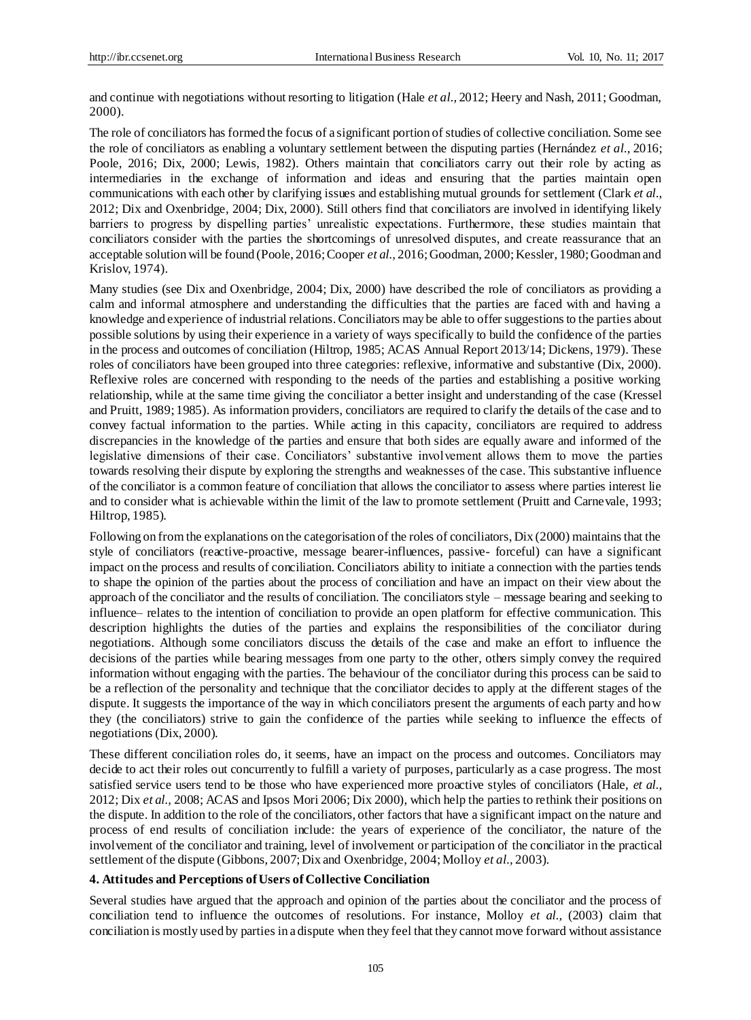and continue with negotiations without resorting to litigation (Hale *et al.,* 2012; Heery and Nash, 2011; Goodman, 2000).

The role of conciliators has formed the focus of a significant portion of studies of collective conciliation. Some see the role of conciliators as enabling a voluntary settlement between the disputing parties (Hernández *et al.,* 2016; Poole, 2016; Dix, 2000; Lewis, 1982). Others maintain that conciliators carry out their role by acting as intermediaries in the exchange of information and ideas and ensuring that the parties maintain open communications with each other by clarifying issues and establishing mutual grounds for settlement (Clark *et al.,*  2012; Dix and Oxenbridge, 2004; Dix, 2000). Still others find that conciliators are involved in identifying likely barriers to progress by dispelling parties' unrealistic expectations. Furthermore, these studies maintain that conciliators consider with the parties the shortcomings of unresolved disputes, and create reassurance that an acceptable solution will be found (Poole, 2016; Cooper *et al.,* 2016; Goodman, 2000; Kessler, 1980; Goodman and Krislov, 1974).

Many studies (see Dix and Oxenbridge, 2004; Dix, 2000) have described the role of conciliators as providing a calm and informal atmosphere and understanding the difficulties that the parties are faced with and having a knowledge and experience of industrial relations. Conciliators may be able to offer suggestions to the parties about possible solutions by using their experience in a variety of ways specifically to build the confidence of the parties in the process and outcomes of conciliation (Hiltrop, 1985; ACAS Annual Report 2013/14; Dickens, 1979). These roles of conciliators have been grouped into three categories: reflexive, informative and substantive (Dix, 2000). Reflexive roles are concerned with responding to the needs of the parties and establishing a positive working relationship, while at the same time giving the conciliator a better insight and understanding of the case (Kressel and Pruitt, 1989; 1985). As information providers, conciliators are required to clarify the details of the case and to convey factual information to the parties. While acting in this capacity, conciliators are required to address discrepancies in the knowledge of the parties and ensure that both sides are equally aware and informed of the legislative dimensions of their case. Conciliators' substantive involvement allows them to move the parties towards resolving their dispute by exploring the strengths and weaknesses of the case. This substantive influence of the conciliator is a common feature of conciliation that allows the conciliator to assess where parties interest lie and to consider what is achievable within the limit of the law to promote settlement (Pruitt and Carnevale, 1993; Hiltrop, 1985).

Following on from the explanations on the categorisation of the roles of conciliators, Dix (2000) maintains that the style of conciliators (reactive-proactive, message bearer-influences, passive- forceful) can have a significant impact on the process and results of conciliation. Conciliators ability to initiate a connection with the parties tends to shape the opinion of the parties about the process of conciliation and have an impact on their view about the approach of the conciliator and the results of conciliation. The conciliators style – message bearing and seeking to influence– relates to the intention of conciliation to provide an open platform for effective communication. This description highlights the duties of the parties and explains the responsibilities of the conciliator during negotiations. Although some conciliators discuss the details of the case and make an effort to influence the decisions of the parties while bearing messages from one party to the other, others simply convey the required information without engaging with the parties. The behaviour of the conciliator during this process can be said to be a reflection of the personality and technique that the conciliator decides to apply at the different stages of the dispute. It suggests the importance of the way in which conciliators present the arguments of each party and how they (the conciliators) strive to gain the confidence of the parties while seeking to influence the effects of negotiations (Dix, 2000).

These different conciliation roles do, it seems, have an impact on the process and outcomes. Conciliators may decide to act their roles out concurrently to fulfill a variety of purposes, particularly as a case progress. The most satisfied service users tend to be those who have experienced more proactive styles of conciliators (Hale, *et al.,*  2012; Dix *et al.,* 2008; ACAS and Ipsos Mori 2006; Dix 2000), which help the parties to rethink their positions on the dispute. In addition to the role of the conciliators, other factors that have a significant impact on the nature and process of end results of conciliation include: the years of experience of the conciliator, the nature of the involvement of the conciliator and training, level of involvement or participation of the conciliator in the practical settlement of the dispute (Gibbons, 2007; Dix and Oxenbridge, 2004; Molloy *et al.,* 2003).

#### **4. Attitudes and Perceptions of Users of Collective Conciliation**

Several studies have argued that the approach and opinion of the parties about the conciliator and the process of conciliation tend to influence the outcomes of resolutions. For instance, Molloy *et al.*, (2003) claim that conciliation is mostly used by parties in a dispute when they feel that they cannot move forward without assistance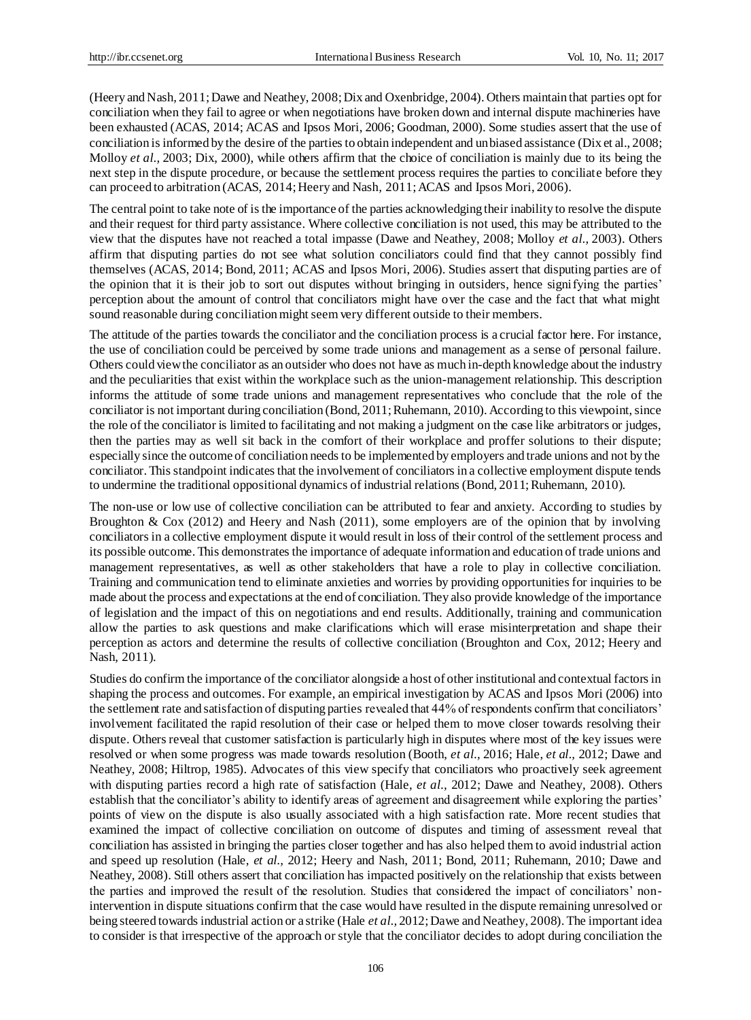(Heery and Nash*,* 2011; Dawe and Neathey, 2008; Dix and Oxenbridge, 2004). Others maintain that parties opt for conciliation when they fail to agree or when negotiations have broken down and internal dispute machineries have been exhausted (ACAS, 2014; ACAS and Ipsos Mori, 2006; Goodman, 2000). Some studies assert that the use of conciliation is informed by the desire of the parties to obtain independent and unbiased assistance (Dix et al., 2008; Molloy *et al.*, 2003; Dix, 2000), while others affirm that the choice of conciliation is mainly due to its being the next step in the dispute procedure, or because the settlement process requires the parties to conciliate before they can proceed to arbitration (ACAS, 2014; Heery and Nash*,* 2011; ACAS and Ipsos Mori, 2006).

The central point to take note of is the importance of the parties acknowledging their inability to resolve the dispute and their request for third party assistance. Where collective conciliation is not used, this may be attributed to the view that the disputes have not reached a total impasse (Dawe and Neathey, 2008; Molloy *et al.,* 2003). Others affirm that disputing parties do not see what solution conciliators could find that they cannot possibly find themselves (ACAS, 2014; Bond, 2011; ACAS and Ipsos Mori, 2006). Studies assert that disputing parties are of the opinion that it is their job to sort out disputes without bringing in outsiders, hence signifying the parties' perception about the amount of control that conciliators might have over the case and the fact that what might sound reasonable during conciliation might seem very different outside to their members.

The attitude of the parties towards the conciliator and the conciliation process is a crucial factor here. For instance, the use of conciliation could be perceived by some trade unions and management as a sense of personal failure. Others could view the conciliator as an outsider who does not have as much in-depth knowledge about the industry and the peculiarities that exist within the workplace such as the union-management relationship. This description informs the attitude of some trade unions and management representatives who conclude that the role of the conciliator is not important during conciliation (Bond, 2011; Ruhemann, 2010). According to this viewpoint, since the role of the conciliator is limited to facilitating and not making a judgment on the case like arbitrators or judges, then the parties may as well sit back in the comfort of their workplace and proffer solutions to their dispute; especially since the outcome of conciliation needs to be implemented by employers and trade unions and not by the conciliator. This standpoint indicates that the involvement of conciliators in a collective employment dispute tends to undermine the traditional oppositional dynamics of industrial relations (Bond, 2011; Ruhemann, 2010).

The non-use or low use of collective conciliation can be attributed to fear and anxiety. According to studies by Broughton & Cox (2012) and Heery and Nash (2011), some employers are of the opinion that by involving conciliators in a collective employment dispute it would result in loss of their control of the settlement process and its possible outcome. This demonstrates the importance of adequate information and education of trade unions and management representatives, as well as other stakeholders that have a role to play in collective conciliation. Training and communication tend to eliminate anxieties and worries by providing opportunities for inquiries to be made about the process and expectations at the end of conciliation. They also provide knowledge of the importance of legislation and the impact of this on negotiations and end results. Additionally, training and communication allow the parties to ask questions and make clarifications which will erase misinterpretation and shape their perception as actors and determine the results of collective conciliation (Broughton and Cox, 2012; Heery and Nash*,* 2011).

Studies do confirm the importance of the conciliator alongside a host of other institutional and contextual factors in shaping the process and outcomes. For example, an empirical investigation by ACAS and Ipsos Mori (2006) into the settlement rate and satisfaction of disputing parties revealed that 44% of respondents confirm that conciliators' involvement facilitated the rapid resolution of their case or helped them to move closer towards resolving their dispute. Others reveal that customer satisfaction is particularly high in disputes where most of the key issues were resolved or when some progress was made towards resolution (Booth, *et al.,* 2016; Hale, *et al.,* 2012; Dawe and Neathey*,* 2008; Hiltrop, 1985). Advocates of this view specify that conciliators who proactively seek agreement with disputing parties record a high rate of satisfaction (Hale, *et al.,* 2012; Dawe and Neathey*,* 2008). Others establish that the conciliator's ability to identify areas of agreement and disagreement while exploring the parties' points of view on the dispute is also usually associated with a high satisfaction rate. More recent studies that examined the impact of collective conciliation on outcome of disputes and timing of assessment reveal that conciliation has assisted in bringing the parties closer together and has also helped them to avoid industrial action and speed up resolution (Hale, *et al.,* 2012; Heery and Nash*,* 2011; Bond, 2011; Ruhemann, 2010; Dawe and Neathey*,* 2008). Still others assert that conciliation has impacted positively on the relationship that exists between the parties and improved the result of the resolution. Studies that considered the impact of conciliators' nonintervention in dispute situations confirm that the case would have resulted in the dispute remaining unresolved or being steered towards industrial action or a strike (Hale *et al.,* 2012; Dawe and Neathey*,* 2008). The important idea to consider is that irrespective of the approach or style that the conciliator decides to adopt during conciliation the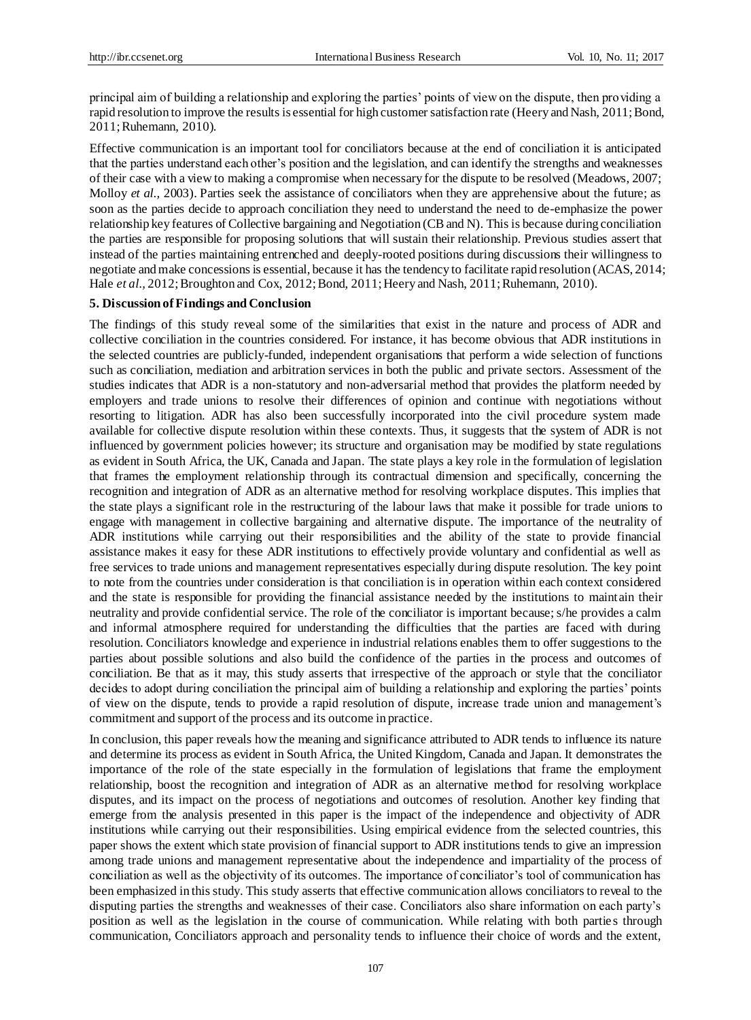principal aim of building a relationship and exploring the parties' points of view on the dispute, then providing a rapid resolution to improve the results is essential for high customer satisfaction rate (Heery and Nash*,* 2011; Bond, 2011; Ruhemann, 2010).

Effective communication is an important tool for conciliators because at the end of conciliation it is anticipated that the parties understand each other's position and the legislation, and can identify the strengths and weaknesses of their case with a view to making a compromise when necessary for the dispute to be resolved (Meadows, 2007; Molloy *et al.*, 2003). Parties seek the assistance of conciliators when they are apprehensive about the future; as soon as the parties decide to approach conciliation they need to understand the need to de-emphasize the power relationship key features of Collective bargaining and Negotiation (CB and N). This is because during conciliation the parties are responsible for proposing solutions that will sustain their relationship. Previous studies assert that instead of the parties maintaining entrenched and deeply-rooted positions during discussions their willingness to negotiate and make concessions is essential, because it has the tendency to facilitate rapid resolution (ACAS, 2014; Hale *et al.,* 2012; Broughton and Cox, 2012; Bond, 2011; Heery and Nash, 2011; Ruhemann, 2010).

### **5. Discussion of Findings and Conclusion**

The findings of this study reveal some of the similarities that exist in the nature and process of ADR and collective conciliation in the countries considered. For instance, it has become obvious that ADR institutions in the selected countries are publicly-funded, independent organisations that perform a wide selection of functions such as conciliation, mediation and arbitration services in both the public and private sectors. Assessment of the studies indicates that ADR is a non-statutory and non-adversarial method that provides the platform needed by employers and trade unions to resolve their differences of opinion and continue with negotiations without resorting to litigation. ADR has also been successfully incorporated into the civil procedure system made available for collective dispute resolution within these contexts. Thus, it suggests that the system of ADR is not influenced by government policies however; its structure and organisation may be modified by state regulations as evident in South Africa, the UK, Canada and Japan. The state plays a key role in the formulation of legislation that frames the employment relationship through its contractual dimension and specifically, concerning the recognition and integration of ADR as an alternative method for resolving workplace disputes. This implies that the state plays a significant role in the restructuring of the labour laws that make it possible for trade unions to engage with management in collective bargaining and alternative dispute. The importance of the neutrality of ADR institutions while carrying out their responsibilities and the ability of the state to provide financial assistance makes it easy for these ADR institutions to effectively provide voluntary and confidential as well as free services to trade unions and management representatives especially during dispute resolution. The key point to note from the countries under consideration is that conciliation is in operation within each context considered and the state is responsible for providing the financial assistance needed by the institutions to maintain their neutrality and provide confidential service. The role of the conciliator is important because; s/he provides a calm and informal atmosphere required for understanding the difficulties that the parties are faced with during resolution. Conciliators knowledge and experience in industrial relations enables them to offer suggestions to the parties about possible solutions and also build the confidence of the parties in the process and outcomes of conciliation. Be that as it may, this study asserts that irrespective of the approach or style that the conciliator decides to adopt during conciliation the principal aim of building a relationship and exploring the parties' points of view on the dispute, tends to provide a rapid resolution of dispute, increase trade union and management's commitment and support of the process and its outcome in practice.

In conclusion, this paper reveals how the meaning and significance attributed to ADR tends to influence its nature and determine its process as evident in South Africa, the United Kingdom, Canada and Japan. It demonstrates the importance of the role of the state especially in the formulation of legislations that frame the employment relationship, boost the recognition and integration of ADR as an alternative method for resolving workplace disputes, and its impact on the process of negotiations and outcomes of resolution. Another key finding that emerge from the analysis presented in this paper is the impact of the independence and objectivity of ADR institutions while carrying out their responsibilities. Using empirical evidence from the selected countries, this paper shows the extent which state provision of financial support to ADR institutions tends to give an impression among trade unions and management representative about the independence and impartiality of the process of conciliation as well as the objectivity of its outcomes. The importance of conciliator's tool of communication has been emphasized in this study. This study asserts that effective communication allows conciliators to reveal to the disputing parties the strengths and weaknesses of their case. Conciliators also share information on each party's position as well as the legislation in the course of communication. While relating with both partie s through communication, Conciliators approach and personality tends to influence their choice of words and the extent,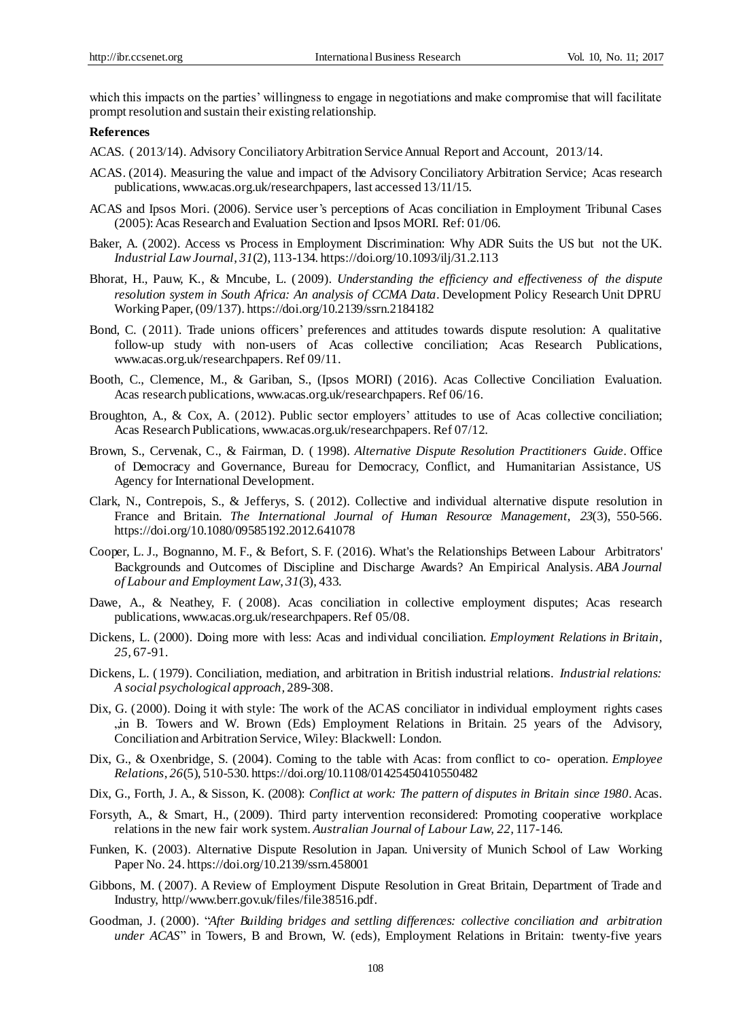which this impacts on the parties' willingness to engage in negotiations and make compromise that will facilitate prompt resolution and sustain their existing relationship.

#### **References**

ACAS. (2013/14). Advisory Conciliatory Arbitration Service Annual Report and Account, 2013/14.

- ACAS. (2014). Measuring the value and impact of the Advisory Conciliatory Arbitration Service; Acas research publications, [www.acas.org.uk/researchpapers,](http://www.acas.org.uk/researchpapers) last accessed 13/11/15.
- ACAS and Ipsos Mori. (2006). Service user's perceptions of Acas conciliation in Employment Tribunal Cases (2005): Acas Research and Evaluation Section and Ipsos MORI. Ref: 01/06.
- Baker, A. (2002). Access vs Process in Employment Discrimination: Why ADR Suits the US but not the UK. *Industrial Law Journal*, *31*(2), 113-134. https://doi.org/10.1093/ilj/31.2.113
- Bhorat, H., Pauw, K., & Mncube, L. ( 2009). *Understanding the efficiency and effectiveness of the dispute resolution system in South Africa: An analysis of CCMA Data*. Development Policy Research Unit DPRU Working Paper, (09/137). https://doi.org/10.2139/ssrn.2184182
- Bond, C. ( 2011). Trade unions officers' preferences and attitudes towards dispute resolution: A qualitative follow-up study with non-users of Acas collective conciliation; Acas Research Publications, [www.acas.org.uk/researchpapers. Ref](http://www.acas.org.uk/researchpapers.%20Ref) 09/11.
- Booth, C., Clemence, M., & Gariban, S., (Ipsos MORI) ( 2016). Acas Collective Conciliation Evaluation. Acas research publications[, www.acas.org.uk/researchpapers.](http://www.acas.org.uk/researchpapers.%20Ref) Ref 06/16.
- Broughton, A., & Cox, A. ( 2012). Public sector employers' attitudes to use of Acas collective conciliation; Acas Research Publications, [www.acas.org.uk/researchpapers.](http://www.acas.org.uk/researchpapers.%20Ref) Ref 07/12.
- Brown, S., Cervenak, C., & Fairman, D. ( 1998). *Alternative Dispute Resolution Practitioners Guide*. Office of Democracy and Governance, Bureau for Democracy, Conflict, and Humanitarian Assistance, US Agency for International Development.
- Clark, N., Contrepois, S., & Jefferys, S. ( 2012). Collective and individual alternative dispute resolution in France and Britain. *The International Journal of Human Resource Management*, *23*(3), 550-566. https://doi.org/10.1080/09585192.2012.641078
- Cooper, L. J., Bognanno, M. F., & Befort, S. F. (2016). What's the Relationships Between Labour Arbitrators' Backgrounds and Outcomes of Discipline and Discharge Awards? An Empirical Analysis. *ABA Journal of Labour and Employment Law*, *31*(3), 433.
- Dawe, A., & Neathey, F. (2008). Acas conciliation in collective employment disputes; Acas research publications, [www.acas.org.uk/researchpapers. Ref](http://www.acas.org.uk/researchpapers.%20Ref) 05/08.
- Dickens, L. (2000). Doing more with less: Acas and individual conciliation. *Employment Relations in Britain, 25,* 67-91.
- Dickens, L. ( 1979). Conciliation, mediation, and arbitration in British industrial relations. *Industrial relations: A social psychological approach,* 289-308.
- Dix, G. (2000). Doing it with style: The work of the ACAS conciliator in individual employment rights cases "in B. Towers and W. Brown (Eds) Employment Relations in Britain. 25 years of the Advisory, Conciliation and Arbitration Service, Wiley: Blackwell: London.
- Dix, G., & Oxenbridge, S. (2004). Coming to the table with Acas: from conflict to co- operation. *Employee Relations*, *26*(5), 510-530. https://doi.org/10.1108/01425450410550482
- Dix, G., Forth, J. A., & Sisson, K. (2008): *Conflict at work: The pattern of disputes in Britain since 1980*. Acas.
- Forsyth, A., & Smart, H., (2009). Third party intervention reconsidered: Promoting cooperative workplace relations in the new fair work system. *Australian Journal of Labour Law, 22,* 117-146.
- Funken, K. (2003). Alternative Dispute Resolution in Japan. University of Munich School of Law Working Paper No. 24. https://doi.org/10.2139/ssrn.458001
- Gibbons, M. ( 2007). A Review of Employment Dispute Resolution in Great Britain, Department of Trade and Industry, http/[/www.berr.gov.uk/files/file38516.pdf.](http://www.berr.gov.uk/files/file38516.pdf)
- Goodman, J. (2000). "*After Building bridges and settling differences: collective conciliation and arbitration under ACAS*" in Towers, B and Brown, W. (eds), Employment Relations in Britain: twenty-five years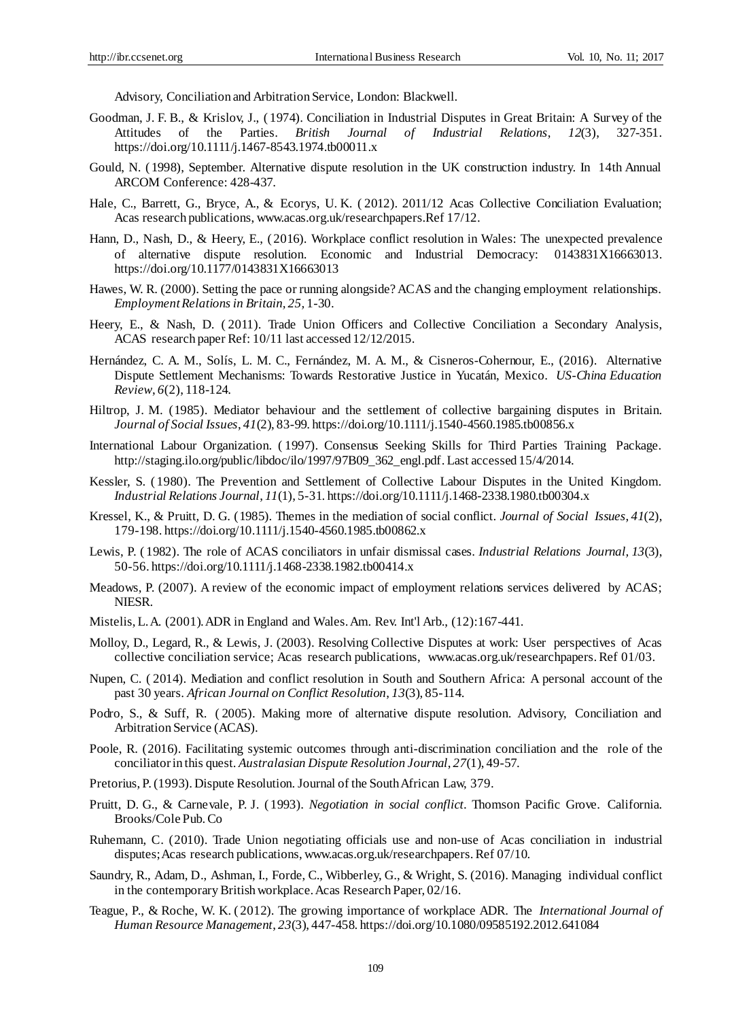Advisory, Conciliation and Arbitration Service, London: Blackwell.

- Goodman, J. F. B., & Krislov, J., ( 1974). Conciliation in Industrial Disputes in Great Britain: A Survey of the Attitudes of the Parties. *British Journal of Industrial Relations*, *12*(3), 327-351. https://doi.org/10.1111/j.1467-8543.1974.tb00011.x
- Gould, N. ( 1998), September. Alternative dispute resolution in the UK construction industry. In 14th Annual ARCOM Conference: 428-437.
- Hale, C., Barrett, G., Bryce, A., & Ecorys, U. K. ( 2012). 2011/12 Acas Collective Conciliation Evaluation; Acas research publications, [www.acas.org.uk/researchpapers.Ref](http://www.acas.org.uk/researchpapers.Ref) 17/12.
- Hann, D., Nash, D., & Heery, E., ( 2016). Workplace conflict resolution in Wales: The unexpected prevalence of alternative dispute resolution. Economic and Industrial Democracy: 0143831X16663013. https://doi.org/10.1177/0143831X16663013
- Hawes, W. R. (2000). Setting the pace or running alongside? ACAS and the changing employment relationships. *Employment Relations in Britain, 25,* 1-30.
- Heery, E., & Nash, D. (2011). Trade Union Officers and Collective Conciliation a Secondary Analysis, ACAS research paper Ref: 10/11 last accessed 12/12/2015.
- Hernández, C. A. M., Sol á, L. M. C., Fernández, M. A. M., & Cisneros-Cohernour, E., (2016). Alternative Dispute Settlement Mechanisms: Towards Restorative Justice in Yucatán, Mexico. *US-China Education Review*, *6*(2), 118-124.
- Hiltrop, J. M. (1985). Mediator behaviour and the settlement of collective bargaining disputes in Britain. *Journal of Social Issues*, *41*(2), 83-99. https://doi.org/10.1111/j.1540-4560.1985.tb00856.x
- International Labour Organization. ( 1997). Consensus Seeking Skills for Third Parties Training Package. [http://staging.ilo.org/public/libdoc/ilo/1997/97B09\\_362\\_engl.pdf.](http://staging.ilo.org/public/libdoc/ilo/1997/97B09_362_engl.pdf) Last accessed 15/4/2014.
- Kessler, S. ( 1980). The Prevention and Settlement of Collective Labour Disputes in the United Kingdom. *Industrial Relations Journal*, *11*(1), 5-31. https://doi.org/10.1111/j.1468-2338.1980.tb00304.x
- Kressel, K., & Pruitt, D. G. (1985). Themes in the mediation of social conflict. *Journal of Social Issues*, *41*(2), 179-198. https://doi.org/10.1111/j.1540-4560.1985.tb00862.x
- Lewis, P. ( 1982). The role of ACAS conciliators in unfair dismissal cases. *Industrial Relations Journal, 13*(3), 50-56. https://doi.org/10.1111/j.1468-2338.1982.tb00414.x
- Meadows, P. (2007). A review of the economic impact of employment relations services delivered by ACAS; NIESR.
- Mistelis, L.A. (2001). ADR in England and Wales.Am. Rev. Int'l Arb., (12):167-441.
- Molloy, D., Legard, R., & Lewis, J. (2003). Resolving Collective Disputes at work: User perspectives of Acas collective conciliation service; Acas research publications, [www.acas.org.uk/researchpapers. Ref](http://www.acas.org.uk/researchpapers.%20Ref) 01/03.
- Nupen, C. ( 2014). Mediation and conflict resolution in South and Southern Africa: A personal account of the past 30 years. *African Journal on Conflict Resolution*, *13*(3), 85-114.
- Podro, S., & Suff, R. ( 2005). Making more of alternative dispute resolution. Advisory, Conciliation and Arbitration Service (ACAS).
- Poole, R. (2016). Facilitating systemic outcomes through anti-discrimination conciliation and the role of the conciliator in this quest. *Australasian Dispute Resolution Journal*, *27*(1), 49-57.
- Pretorius, P. (1993). Dispute Resolution. Journal of the South African Law, 379.
- Pruitt, D. G., & Carnevale, P. J. ( 1993). *Negotiation in social conflict*. Thomson Pacific Grove. California. Brooks/Cole Pub. Co
- Ruhemann, C. (2010). Trade Union negotiating officials use and non-use of Acas conciliation in industrial disputes; Acas research publications[, www.acas.org.uk/researchpapers. Ref](http://www.acas.org.uk/researchpapers.%20Ref) 07/10.
- Saundry, R., Adam, D., Ashman, I., Forde, C., Wibberley, G., & Wright, S. (2016). Managing individual conflict in the contemporary British workplace. Acas Research Paper, 02/16.
- Teague, P., & Roche, W. K. ( 2012). The growing importance of workplace ADR. The *International Journal of Human Resource Management*, *23*(3), 447-458. https://doi.org/10.1080/09585192.2012.641084